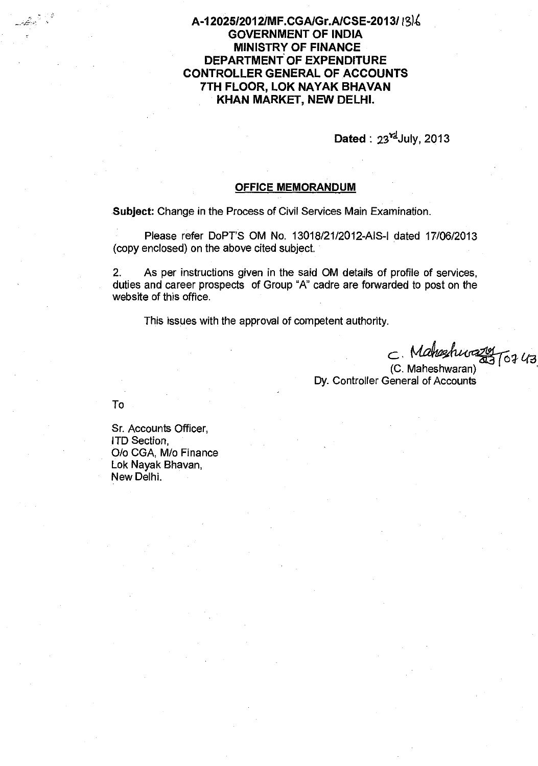A-12025/2012/MF.CGA/Gr.A/CSE-2013/13/6 **GOVERNMENT OF INDIA MINISTRY OF FINANCE DEPARTMENT OF EXPENDITURE CONTROLLER GENERAL OF ACCOUNTS** 7TH FLOOR, LOK NAYAK BHAVAN KHAN MARKET, NEW DELHI.

Dated:  $23^{\frac{rd}{d}}$ July, 2013

## **OFFICE MEMORANDUM**

Subject: Change in the Process of Civil Services Main Examination.

Please refer DoPT'S OM No. 13018/21/2012-AIS-I dated 17/06/2013 (copy enclosed) on the above cited subject.

As per instructions given in the said OM details of profile of services,  $2^{\circ}$ duties and career prospects of Group "A" cadre are forwarded to post on the website of this office.

This issues with the approval of competent authority.

 $C$ . Mahashurazig (6743)

Dy. Controller General of Accounts

To

Sr. Accounts Officer, **ITD Section** O/o CGA, M/o Finance Lok Nayak Bhavan, New Delhi.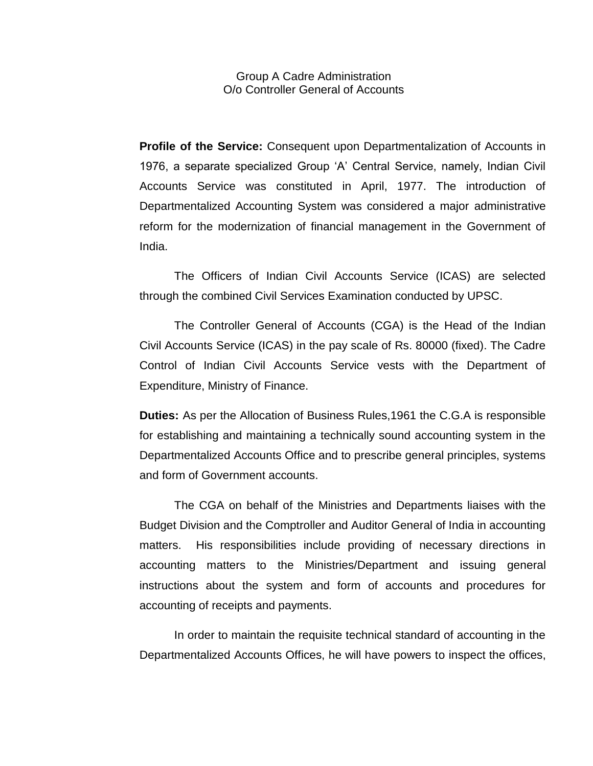Group A Cadre Administration O/o Controller General of Accounts

**Profile of the Service:** Consequent upon Departmentalization of Accounts in 1976, a separate specialized Group 'A' Central Service, namely, Indian Civil Accounts Service was constituted in April, 1977. The introduction of Departmentalized Accounting System was considered a major administrative reform for the modernization of financial management in the Government of India.

The Officers of Indian Civil Accounts Service (ICAS) are selected through the combined Civil Services Examination conducted by UPSC.

The Controller General of Accounts (CGA) is the Head of the Indian Civil Accounts Service (ICAS) in the pay scale of Rs. 80000 (fixed). The Cadre Control of Indian Civil Accounts Service vests with the Department of Expenditure, Ministry of Finance.

**Duties:** As per the Allocation of Business Rules,1961 the C.G.A is responsible for establishing and maintaining a technically sound accounting system in the Departmentalized Accounts Office and to prescribe general principles, systems and form of Government accounts.

The CGA on behalf of the Ministries and Departments liaises with the Budget Division and the Comptroller and Auditor General of India in accounting matters. His responsibilities include providing of necessary directions in accounting matters to the Ministries/Department and issuing general instructions about the system and form of accounts and procedures for accounting of receipts and payments.

In order to maintain the requisite technical standard of accounting in the Departmentalized Accounts Offices, he will have powers to inspect the offices,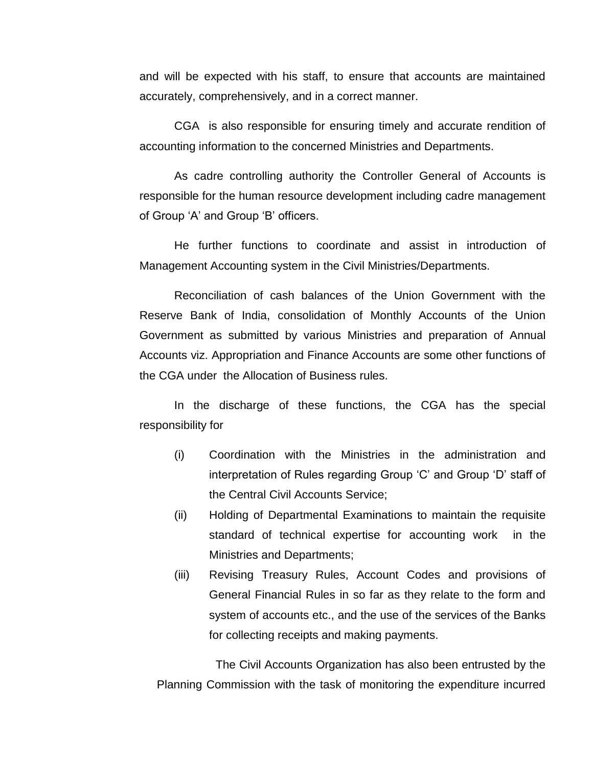and will be expected with his staff, to ensure that accounts are maintained accurately, comprehensively, and in a correct manner.

CGA is also responsible for ensuring timely and accurate rendition of accounting information to the concerned Ministries and Departments.

As cadre controlling authority the Controller General of Accounts is responsible for the human resource development including cadre management of Group 'A' and Group 'B' officers.

He further functions to coordinate and assist in introduction of Management Accounting system in the Civil Ministries/Departments.

Reconciliation of cash balances of the Union Government with the Reserve Bank of India, consolidation of Monthly Accounts of the Union Government as submitted by various Ministries and preparation of Annual Accounts viz. Appropriation and Finance Accounts are some other functions of the CGA under the Allocation of Business rules.

In the discharge of these functions, the CGA has the special responsibility for

- (i) Coordination with the Ministries in the administration and interpretation of Rules regarding Group 'C' and Group 'D' staff of the Central Civil Accounts Service;
- (ii) Holding of Departmental Examinations to maintain the requisite standard of technical expertise for accounting work in the Ministries and Departments;
- (iii) Revising Treasury Rules, Account Codes and provisions of General Financial Rules in so far as they relate to the form and system of accounts etc., and the use of the services of the Banks for collecting receipts and making payments.

The Civil Accounts Organization has also been entrusted by the Planning Commission with the task of monitoring the expenditure incurred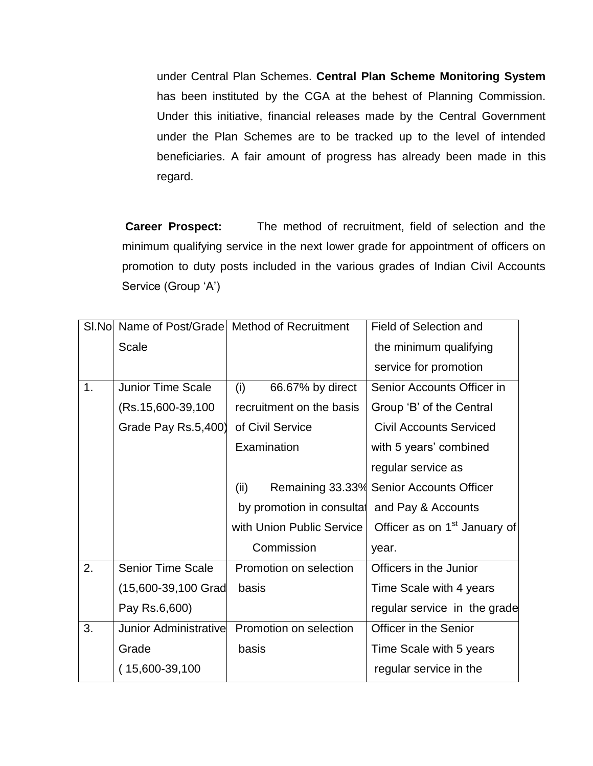under Central Plan Schemes. **Central Plan Scheme Monitoring System**  has been instituted by the CGA at the behest of Planning Commission. Under this initiative, financial releases made by the Central Government under the Plan Schemes are to be tracked up to the level of intended beneficiaries. A fair amount of progress has already been made in this regard.

**Career Prospect:** The method of recruitment, field of selection and the minimum qualifying service in the next lower grade for appointment of officers on promotion to duty posts included in the various grades of Indian Civil Accounts Service (Group 'A')

| SI.Nol |                          | Name of Post/Grade Method of Recruitment | <b>Field of Selection and</b>            |
|--------|--------------------------|------------------------------------------|------------------------------------------|
|        | <b>Scale</b>             |                                          | the minimum qualifying                   |
|        |                          |                                          | service for promotion                    |
| 1.     | <b>Junior Time Scale</b> | (i)<br>66.67% by direct                  | Senior Accounts Officer in               |
|        | (Rs.15,600-39,100)       | recruitment on the basis                 | Group 'B' of the Central                 |
|        | Grade Pay Rs.5,400)      | of Civil Service                         | <b>Civil Accounts Serviced</b>           |
|        |                          | Examination                              | with 5 years' combined                   |
|        |                          |                                          | regular service as                       |
|        |                          | (ii)                                     | Remaining 33.33% Senior Accounts Officer |
|        |                          | by promotion in consultal                | and Pay & Accounts                       |
|        |                          | with Union Public Service                | Officer as on 1 <sup>st</sup> January of |
|        |                          | Commission                               | year.                                    |
| 2.     | <b>Senior Time Scale</b> | Promotion on selection                   | Officers in the Junior                   |
|        | (15,600-39,100 Grad      | basis                                    | Time Scale with 4 years                  |
|        | Pay Rs.6,600)            |                                          | regular service in the grade             |
| 3.     | Junior Administrative    | Promotion on selection                   | Officer in the Senior                    |
|        | Grade                    | basis                                    | Time Scale with 5 years                  |
|        | $(15,600-39,100)$        |                                          | regular service in the                   |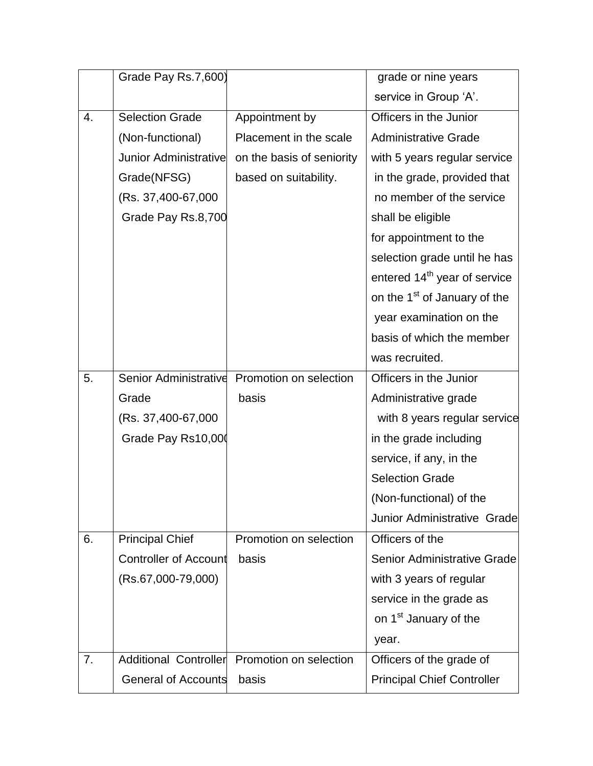|    | Grade Pay Rs.7,600)          |                           | grade or nine years                      |
|----|------------------------------|---------------------------|------------------------------------------|
|    |                              |                           | service in Group 'A'.                    |
| 4. | <b>Selection Grade</b>       | Appointment by            | Officers in the Junior                   |
|    | (Non-functional)             | Placement in the scale    | <b>Administrative Grade</b>              |
|    | <b>Junior Administrative</b> | on the basis of seniority | with 5 years regular service             |
|    | Grade(NFSG)                  | based on suitability.     | in the grade, provided that              |
|    | (Rs. 37,400-67,000           |                           | no member of the service                 |
|    | Grade Pay Rs.8,700           |                           | shall be eligible                        |
|    |                              |                           | for appointment to the                   |
|    |                              |                           | selection grade until he has             |
|    |                              |                           | entered 14 <sup>th</sup> year of service |
|    |                              |                           | on the 1 <sup>st</sup> of January of the |
|    |                              |                           | year examination on the                  |
|    |                              |                           | basis of which the member                |
|    |                              |                           | was recruited.                           |
| 5. | Senior Administrative        | Promotion on selection    | Officers in the Junior                   |
|    | Grade                        | basis                     | Administrative grade                     |
|    | (Rs. 37,400-67,000)          |                           | with 8 years regular service             |
|    | Grade Pay Rs10,000           |                           | in the grade including                   |
|    |                              |                           | service, if any, in the                  |
|    |                              |                           | <b>Selection Grade</b>                   |
|    |                              |                           | (Non-functional) of the                  |
|    |                              |                           | Junior Administrative Grade              |
| 6. | <b>Principal Chief</b>       | Promotion on selection    | Officers of the                          |
|    | <b>Controller of Account</b> | basis                     | Senior Administrative Grade              |
|    | (Rs.67,000-79,000)           |                           | with 3 years of regular                  |
|    |                              |                           | service in the grade as                  |
|    |                              |                           | on 1 <sup>st</sup> January of the        |
|    |                              |                           | year.                                    |
| 7. | Additional Controller        | Promotion on selection    | Officers of the grade of                 |
|    | <b>General of Accounts</b>   | basis                     | <b>Principal Chief Controller</b>        |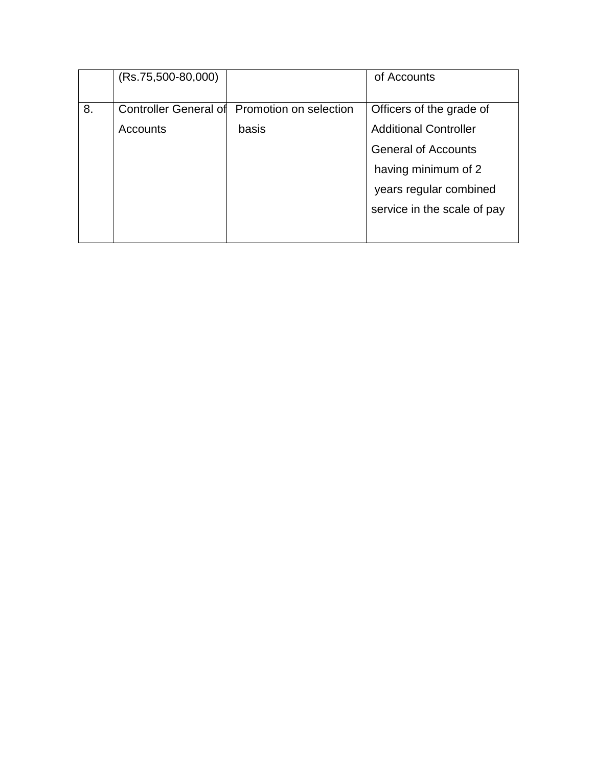|    | $(Rs.75,500-80,000)$  |                        | of Accounts                  |
|----|-----------------------|------------------------|------------------------------|
|    |                       |                        |                              |
| 8. | Controller General of | Promotion on selection | Officers of the grade of     |
|    | Accounts              | basis                  | <b>Additional Controller</b> |
|    |                       |                        | <b>General of Accounts</b>   |
|    |                       |                        | having minimum of 2          |
|    |                       |                        | years regular combined       |
|    |                       |                        | service in the scale of pay  |
|    |                       |                        |                              |